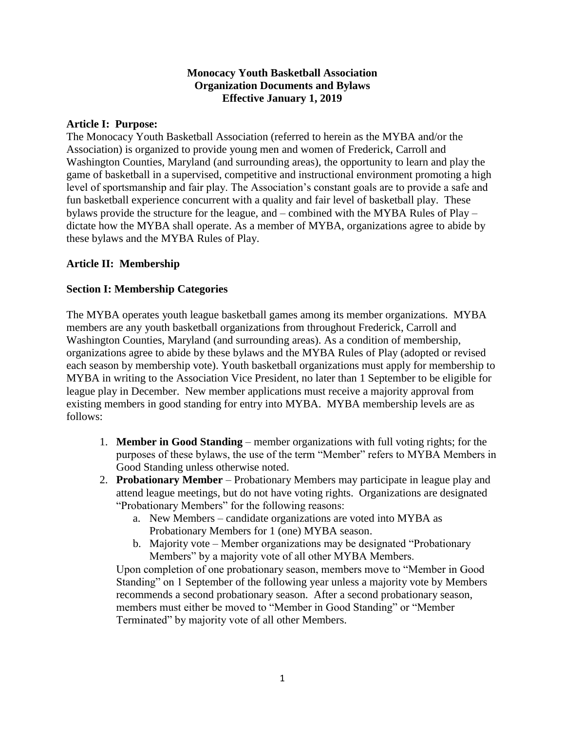#### **Monocacy Youth Basketball Association Organization Documents and Bylaws Effective January 1, 2019**

#### **Article I: Purpose:**

The Monocacy Youth Basketball Association (referred to herein as the MYBA and/or the Association) is organized to provide young men and women of Frederick, Carroll and Washington Counties, Maryland (and surrounding areas), the opportunity to learn and play the game of basketball in a supervised, competitive and instructional environment promoting a high level of sportsmanship and fair play. The Association's constant goals are to provide a safe and fun basketball experience concurrent with a quality and fair level of basketball play. These bylaws provide the structure for the league, and – combined with the MYBA Rules of Play – dictate how the MYBA shall operate. As a member of MYBA, organizations agree to abide by these bylaws and the MYBA Rules of Play.

#### **Article II: Membership**

#### **Section I: Membership Categories**

The MYBA operates youth league basketball games among its member organizations. MYBA members are any youth basketball organizations from throughout Frederick, Carroll and Washington Counties, Maryland (and surrounding areas). As a condition of membership, organizations agree to abide by these bylaws and the MYBA Rules of Play (adopted or revised each season by membership vote). Youth basketball organizations must apply for membership to MYBA in writing to the Association Vice President, no later than 1 September to be eligible for league play in December. New member applications must receive a majority approval from existing members in good standing for entry into MYBA. MYBA membership levels are as follows:

- 1. **Member in Good Standing** member organizations with full voting rights; for the purposes of these bylaws, the use of the term "Member" refers to MYBA Members in Good Standing unless otherwise noted.
- 2. **Probationary Member** Probationary Members may participate in league play and attend league meetings, but do not have voting rights. Organizations are designated "Probationary Members" for the following reasons:
	- a. New Members candidate organizations are voted into MYBA as Probationary Members for 1 (one) MYBA season.
	- b. Majority vote Member organizations may be designated "Probationary Members" by a majority vote of all other MYBA Members.

Upon completion of one probationary season, members move to "Member in Good Standing" on 1 September of the following year unless a majority vote by Members recommends a second probationary season. After a second probationary season, members must either be moved to "Member in Good Standing" or "Member Terminated" by majority vote of all other Members.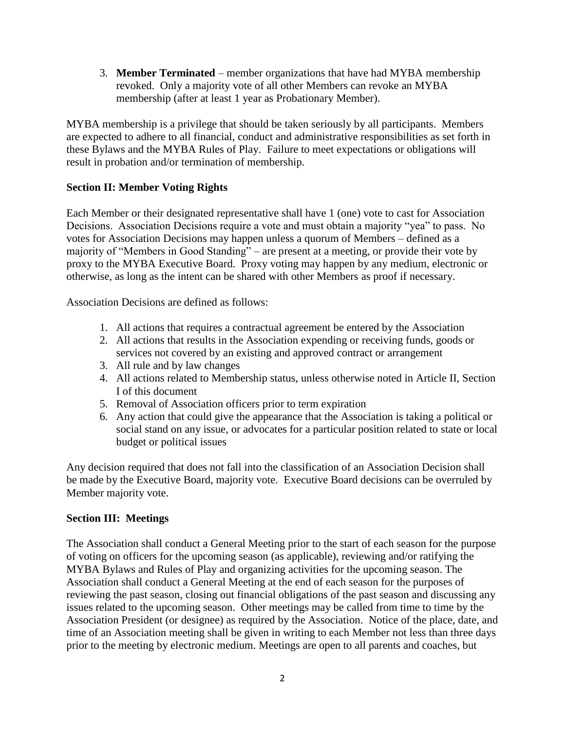3. **Member Terminated** – member organizations that have had MYBA membership revoked. Only a majority vote of all other Members can revoke an MYBA membership (after at least 1 year as Probationary Member).

MYBA membership is a privilege that should be taken seriously by all participants. Members are expected to adhere to all financial, conduct and administrative responsibilities as set forth in these Bylaws and the MYBA Rules of Play. Failure to meet expectations or obligations will result in probation and/or termination of membership.

# **Section II: Member Voting Rights**

Each Member or their designated representative shall have 1 (one) vote to cast for Association Decisions. Association Decisions require a vote and must obtain a majority "yea" to pass. No votes for Association Decisions may happen unless a quorum of Members – defined as a majority of "Members in Good Standing" – are present at a meeting, or provide their vote by proxy to the MYBA Executive Board. Proxy voting may happen by any medium, electronic or otherwise, as long as the intent can be shared with other Members as proof if necessary.

Association Decisions are defined as follows:

- 1. All actions that requires a contractual agreement be entered by the Association
- 2. All actions that results in the Association expending or receiving funds, goods or services not covered by an existing and approved contract or arrangement
- 3. All rule and by law changes
- 4. All actions related to Membership status, unless otherwise noted in Article II, Section I of this document
- 5. Removal of Association officers prior to term expiration
- 6. Any action that could give the appearance that the Association is taking a political or social stand on any issue, or advocates for a particular position related to state or local budget or political issues

Any decision required that does not fall into the classification of an Association Decision shall be made by the Executive Board, majority vote. Executive Board decisions can be overruled by Member majority vote.

# **Section III: Meetings**

The Association shall conduct a General Meeting prior to the start of each season for the purpose of voting on officers for the upcoming season (as applicable), reviewing and/or ratifying the MYBA Bylaws and Rules of Play and organizing activities for the upcoming season. The Association shall conduct a General Meeting at the end of each season for the purposes of reviewing the past season, closing out financial obligations of the past season and discussing any issues related to the upcoming season. Other meetings may be called from time to time by the Association President (or designee) as required by the Association. Notice of the place, date, and time of an Association meeting shall be given in writing to each Member not less than three days prior to the meeting by electronic medium. Meetings are open to all parents and coaches, but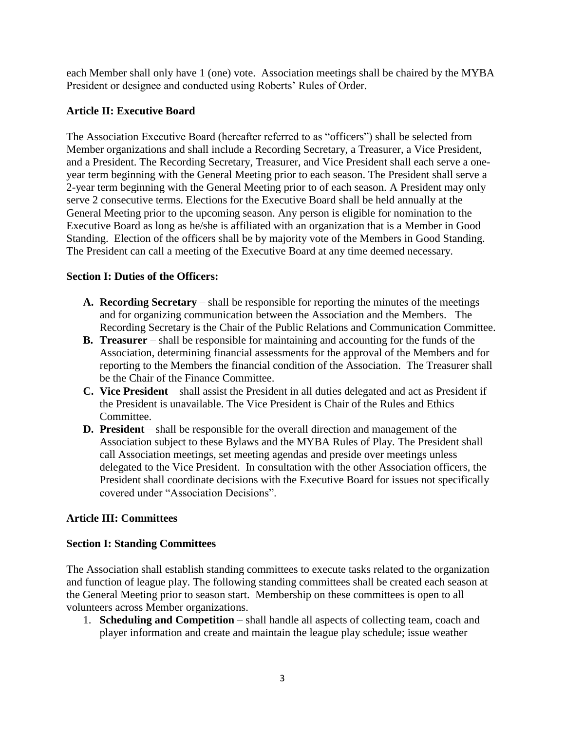each Member shall only have 1 (one) vote. Association meetings shall be chaired by the MYBA President or designee and conducted using Roberts' Rules of Order.

# **Article II: Executive Board**

The Association Executive Board (hereafter referred to as "officers") shall be selected from Member organizations and shall include a Recording Secretary, a Treasurer, a Vice President, and a President. The Recording Secretary, Treasurer, and Vice President shall each serve a oneyear term beginning with the General Meeting prior to each season. The President shall serve a 2-year term beginning with the General Meeting prior to of each season. A President may only serve 2 consecutive terms. Elections for the Executive Board shall be held annually at the General Meeting prior to the upcoming season. Any person is eligible for nomination to the Executive Board as long as he/she is affiliated with an organization that is a Member in Good Standing. Election of the officers shall be by majority vote of the Members in Good Standing. The President can call a meeting of the Executive Board at any time deemed necessary.

# **Section I: Duties of the Officers:**

- **A. Recording Secretary** shall be responsible for reporting the minutes of the meetings and for organizing communication between the Association and the Members. The Recording Secretary is the Chair of the Public Relations and Communication Committee.
- **B. Treasurer** shall be responsible for maintaining and accounting for the funds of the Association, determining financial assessments for the approval of the Members and for reporting to the Members the financial condition of the Association. The Treasurer shall be the Chair of the Finance Committee.
- **C. Vice President** shall assist the President in all duties delegated and act as President if the President is unavailable. The Vice President is Chair of the Rules and Ethics Committee.
- **D. President** shall be responsible for the overall direction and management of the Association subject to these Bylaws and the MYBA Rules of Play. The President shall call Association meetings, set meeting agendas and preside over meetings unless delegated to the Vice President. In consultation with the other Association officers, the President shall coordinate decisions with the Executive Board for issues not specifically covered under "Association Decisions".

# **Article III: Committees**

# **Section I: Standing Committees**

The Association shall establish standing committees to execute tasks related to the organization and function of league play. The following standing committees shall be created each season at the General Meeting prior to season start. Membership on these committees is open to all volunteers across Member organizations.

1. **Scheduling and Competition** – shall handle all aspects of collecting team, coach and player information and create and maintain the league play schedule; issue weather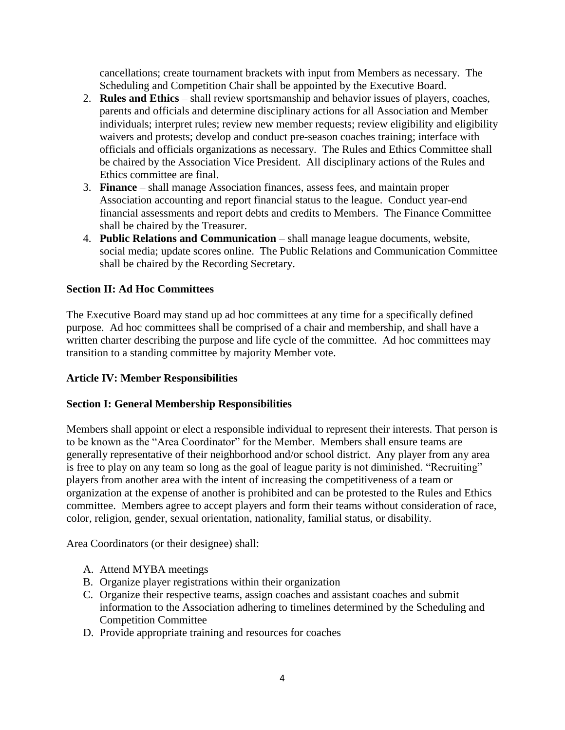cancellations; create tournament brackets with input from Members as necessary. The Scheduling and Competition Chair shall be appointed by the Executive Board.

- 2. **Rules and Ethics** shall review sportsmanship and behavior issues of players, coaches, parents and officials and determine disciplinary actions for all Association and Member individuals; interpret rules; review new member requests; review eligibility and eligibility waivers and protests; develop and conduct pre-season coaches training; interface with officials and officials organizations as necessary. The Rules and Ethics Committee shall be chaired by the Association Vice President. All disciplinary actions of the Rules and Ethics committee are final.
- 3. **Finance** shall manage Association finances, assess fees, and maintain proper Association accounting and report financial status to the league. Conduct year-end financial assessments and report debts and credits to Members. The Finance Committee shall be chaired by the Treasurer.
- 4. **Public Relations and Communication** shall manage league documents, website, social media; update scores online. The Public Relations and Communication Committee shall be chaired by the Recording Secretary.

# **Section II: Ad Hoc Committees**

The Executive Board may stand up ad hoc committees at any time for a specifically defined purpose. Ad hoc committees shall be comprised of a chair and membership, and shall have a written charter describing the purpose and life cycle of the committee. Ad hoc committees may transition to a standing committee by majority Member vote.

# **Article IV: Member Responsibilities**

# **Section I: General Membership Responsibilities**

Members shall appoint or elect a responsible individual to represent their interests. That person is to be known as the "Area Coordinator" for the Member. Members shall ensure teams are generally representative of their neighborhood and/or school district. Any player from any area is free to play on any team so long as the goal of league parity is not diminished. "Recruiting" players from another area with the intent of increasing the competitiveness of a team or organization at the expense of another is prohibited and can be protested to the Rules and Ethics committee. Members agree to accept players and form their teams without consideration of race, color, religion, gender, sexual orientation, nationality, familial status, or disability.

Area Coordinators (or their designee) shall:

- A. Attend MYBA meetings
- B. Organize player registrations within their organization
- C. Organize their respective teams, assign coaches and assistant coaches and submit information to the Association adhering to timelines determined by the Scheduling and Competition Committee
- D. Provide appropriate training and resources for coaches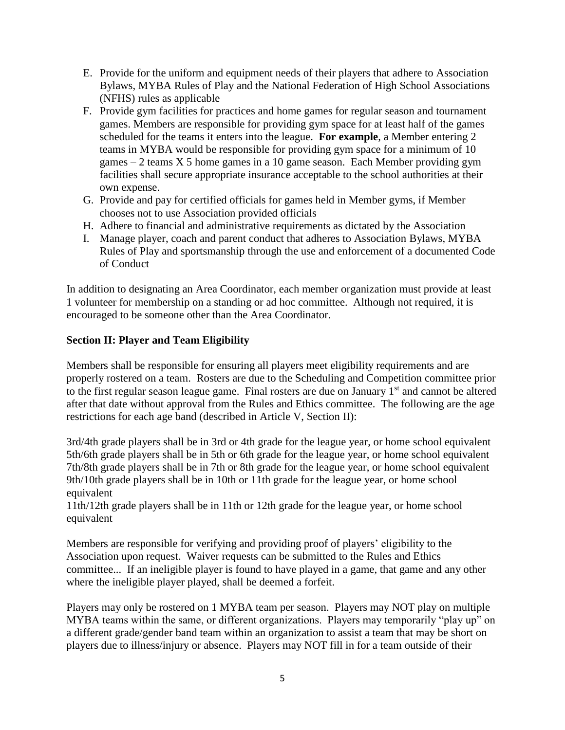- E. Provide for the uniform and equipment needs of their players that adhere to Association Bylaws, MYBA Rules of Play and the National Federation of High School Associations (NFHS) rules as applicable
- F. Provide gym facilities for practices and home games for regular season and tournament games. Members are responsible for providing gym space for at least half of the games scheduled for the teams it enters into the league. **For example**, a Member entering 2 teams in MYBA would be responsible for providing gym space for a minimum of 10 games  $-2$  teams X 5 home games in a 10 game season. Each Member providing gym facilities shall secure appropriate insurance acceptable to the school authorities at their own expense.
- G. Provide and pay for certified officials for games held in Member gyms, if Member chooses not to use Association provided officials
- H. Adhere to financial and administrative requirements as dictated by the Association
- I. Manage player, coach and parent conduct that adheres to Association Bylaws, MYBA Rules of Play and sportsmanship through the use and enforcement of a documented Code of Conduct

In addition to designating an Area Coordinator, each member organization must provide at least 1 volunteer for membership on a standing or ad hoc committee. Although not required, it is encouraged to be someone other than the Area Coordinator.

# **Section II: Player and Team Eligibility**

Members shall be responsible for ensuring all players meet eligibility requirements and are properly rostered on a team. Rosters are due to the Scheduling and Competition committee prior to the first regular season league game. Final rosters are due on January 1<sup>st</sup> and cannot be altered after that date without approval from the Rules and Ethics committee. The following are the age restrictions for each age band (described in Article V, Section II):

3rd/4th grade players shall be in 3rd or 4th grade for the league year, or home school equivalent 5th/6th grade players shall be in 5th or 6th grade for the league year, or home school equivalent 7th/8th grade players shall be in 7th or 8th grade for the league year, or home school equivalent 9th/10th grade players shall be in 10th or 11th grade for the league year, or home school equivalent

11th/12th grade players shall be in 11th or 12th grade for the league year, or home school equivalent

Members are responsible for verifying and providing proof of players' eligibility to the Association upon request. Waiver requests can be submitted to the Rules and Ethics committee... If an ineligible player is found to have played in a game, that game and any other where the ineligible player played, shall be deemed a forfeit.

Players may only be rostered on 1 MYBA team per season. Players may NOT play on multiple MYBA teams within the same, or different organizations. Players may temporarily "play up" on a different grade/gender band team within an organization to assist a team that may be short on players due to illness/injury or absence. Players may NOT fill in for a team outside of their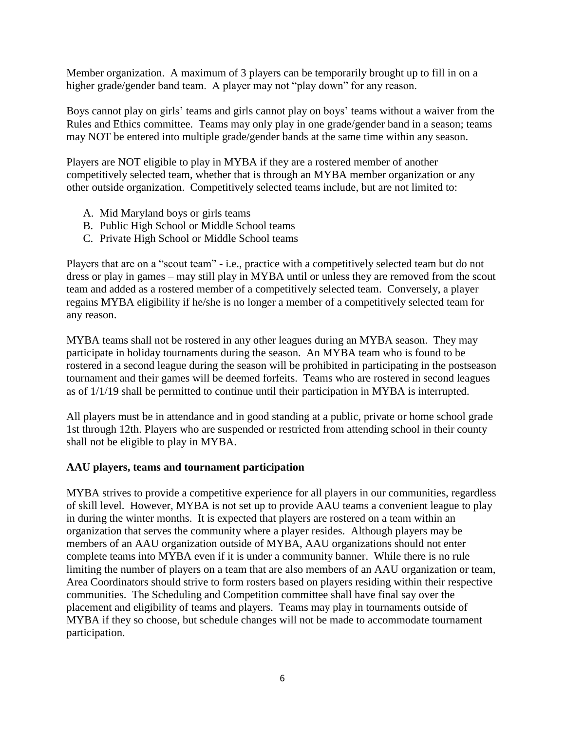Member organization. A maximum of 3 players can be temporarily brought up to fill in on a higher grade/gender band team. A player may not "play down" for any reason.

Boys cannot play on girls' teams and girls cannot play on boys' teams without a waiver from the Rules and Ethics committee. Teams may only play in one grade/gender band in a season; teams may NOT be entered into multiple grade/gender bands at the same time within any season.

Players are NOT eligible to play in MYBA if they are a rostered member of another competitively selected team, whether that is through an MYBA member organization or any other outside organization. Competitively selected teams include, but are not limited to:

- A. Mid Maryland boys or girls teams
- B. Public High School or Middle School teams
- C. Private High School or Middle School teams

Players that are on a "scout team" - i.e., practice with a competitively selected team but do not dress or play in games – may still play in MYBA until or unless they are removed from the scout team and added as a rostered member of a competitively selected team. Conversely, a player regains MYBA eligibility if he/she is no longer a member of a competitively selected team for any reason.

MYBA teams shall not be rostered in any other leagues during an MYBA season. They may participate in holiday tournaments during the season. An MYBA team who is found to be rostered in a second league during the season will be prohibited in participating in the postseason tournament and their games will be deemed forfeits. Teams who are rostered in second leagues as of 1/1/19 shall be permitted to continue until their participation in MYBA is interrupted.

All players must be in attendance and in good standing at a public, private or home school grade 1st through 12th. Players who are suspended or restricted from attending school in their county shall not be eligible to play in MYBA.

# **AAU players, teams and tournament participation**

MYBA strives to provide a competitive experience for all players in our communities, regardless of skill level. However, MYBA is not set up to provide AAU teams a convenient league to play in during the winter months. It is expected that players are rostered on a team within an organization that serves the community where a player resides. Although players may be members of an AAU organization outside of MYBA, AAU organizations should not enter complete teams into MYBA even if it is under a community banner. While there is no rule limiting the number of players on a team that are also members of an AAU organization or team, Area Coordinators should strive to form rosters based on players residing within their respective communities. The Scheduling and Competition committee shall have final say over the placement and eligibility of teams and players. Teams may play in tournaments outside of MYBA if they so choose, but schedule changes will not be made to accommodate tournament participation.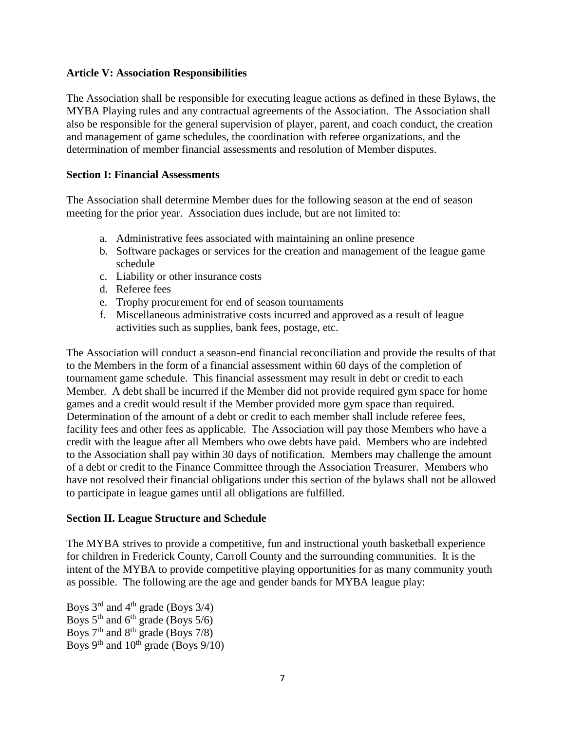#### **Article V: Association Responsibilities**

The Association shall be responsible for executing league actions as defined in these Bylaws, the MYBA Playing rules and any contractual agreements of the Association. The Association shall also be responsible for the general supervision of player, parent, and coach conduct, the creation and management of game schedules, the coordination with referee organizations, and the determination of member financial assessments and resolution of Member disputes.

#### **Section I: Financial Assessments**

The Association shall determine Member dues for the following season at the end of season meeting for the prior year. Association dues include, but are not limited to:

- a. Administrative fees associated with maintaining an online presence
- b. Software packages or services for the creation and management of the league game schedule
- c. Liability or other insurance costs
- d. Referee fees
- e. Trophy procurement for end of season tournaments
- f. Miscellaneous administrative costs incurred and approved as a result of league activities such as supplies, bank fees, postage, etc.

The Association will conduct a season-end financial reconciliation and provide the results of that to the Members in the form of a financial assessment within 60 days of the completion of tournament game schedule. This financial assessment may result in debt or credit to each Member. A debt shall be incurred if the Member did not provide required gym space for home games and a credit would result if the Member provided more gym space than required. Determination of the amount of a debt or credit to each member shall include referee fees, facility fees and other fees as applicable. The Association will pay those Members who have a credit with the league after all Members who owe debts have paid. Members who are indebted to the Association shall pay within 30 days of notification. Members may challenge the amount of a debt or credit to the Finance Committee through the Association Treasurer. Members who have not resolved their financial obligations under this section of the bylaws shall not be allowed to participate in league games until all obligations are fulfilled.

#### **Section II. League Structure and Schedule**

The MYBA strives to provide a competitive, fun and instructional youth basketball experience for children in Frederick County, Carroll County and the surrounding communities. It is the intent of the MYBA to provide competitive playing opportunities for as many community youth as possible. The following are the age and gender bands for MYBA league play:

Boys  $3^{\text{rd}}$  and  $4^{\text{th}}$  grade (Boys  $3/4$ ) Boys  $5<sup>th</sup>$  and  $6<sup>th</sup>$  grade (Boys  $5/6$ ) Boys  $7<sup>th</sup>$  and  $8<sup>th</sup>$  grade (Boys 7/8) Boys  $9<sup>th</sup>$  and  $10<sup>th</sup>$  grade (Boys  $9/10$ )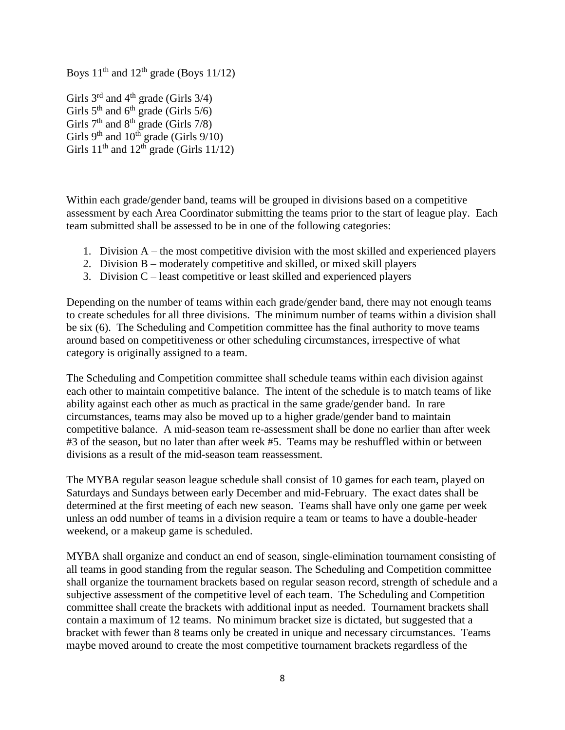Boys  $11<sup>th</sup>$  and  $12<sup>th</sup>$  grade (Boys  $11/12$ )

Girls  $3^{\text{rd}}$  and  $4^{\text{th}}$  grade (Girls  $3/4$ ) Girls  $5<sup>th</sup>$  and  $6<sup>th</sup>$  grade (Girls  $5/6$ ) Girls  $7<sup>th</sup>$  and  $8<sup>th</sup>$  grade (Girls  $7/8$ ) Girls  $9<sup>th</sup>$  and  $10<sup>th</sup>$  grade (Girls  $9/10$ ) Girls  $11<sup>th</sup>$  and  $12<sup>th</sup>$  grade (Girls  $11/12$ )

Within each grade/gender band, teams will be grouped in divisions based on a competitive assessment by each Area Coordinator submitting the teams prior to the start of league play. Each team submitted shall be assessed to be in one of the following categories:

- 1. Division A the most competitive division with the most skilled and experienced players
- 2. Division B moderately competitive and skilled, or mixed skill players
- 3. Division C least competitive or least skilled and experienced players

Depending on the number of teams within each grade/gender band, there may not enough teams to create schedules for all three divisions. The minimum number of teams within a division shall be six (6). The Scheduling and Competition committee has the final authority to move teams around based on competitiveness or other scheduling circumstances, irrespective of what category is originally assigned to a team.

The Scheduling and Competition committee shall schedule teams within each division against each other to maintain competitive balance. The intent of the schedule is to match teams of like ability against each other as much as practical in the same grade/gender band. In rare circumstances, teams may also be moved up to a higher grade/gender band to maintain competitive balance. A mid-season team re-assessment shall be done no earlier than after week #3 of the season, but no later than after week #5. Teams may be reshuffled within or between divisions as a result of the mid-season team reassessment.

The MYBA regular season league schedule shall consist of 10 games for each team, played on Saturdays and Sundays between early December and mid-February. The exact dates shall be determined at the first meeting of each new season. Teams shall have only one game per week unless an odd number of teams in a division require a team or teams to have a double-header weekend, or a makeup game is scheduled.

MYBA shall organize and conduct an end of season, single-elimination tournament consisting of all teams in good standing from the regular season. The Scheduling and Competition committee shall organize the tournament brackets based on regular season record, strength of schedule and a subjective assessment of the competitive level of each team. The Scheduling and Competition committee shall create the brackets with additional input as needed. Tournament brackets shall contain a maximum of 12 teams. No minimum bracket size is dictated, but suggested that a bracket with fewer than 8 teams only be created in unique and necessary circumstances. Teams maybe moved around to create the most competitive tournament brackets regardless of the